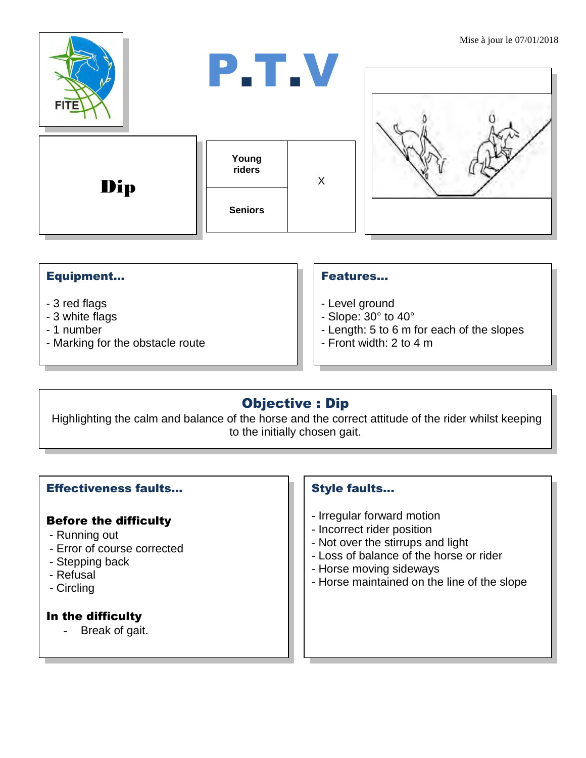

## Equipment...

- 3 red flags
- 3 white flags
- 1 number
- Marking for the obstacle route

#### Features…

- Level ground
- Slope: 30° to 40°
- Length: 5 to 6 m for each of the slopes
- Front width: 2 to 4 m

# Objective : Dip

Highlighting the calm and balance of the horse and the correct attitude of the rider whilst keeping to the initially chosen gait.

#### Effectiveness faults…

#### Before the difficulty

- Running out
- Error of course corrected
- Stepping back
- Refusal
- Circling

### In the difficulty

- Break of gait.

#### Style faults...

- Irregular forward motion
- Incorrect rider position
- Not over the stirrups and light
- Loss of balance of the horse or rider
- Horse moving sideways
- Horse maintained on the line of the slope